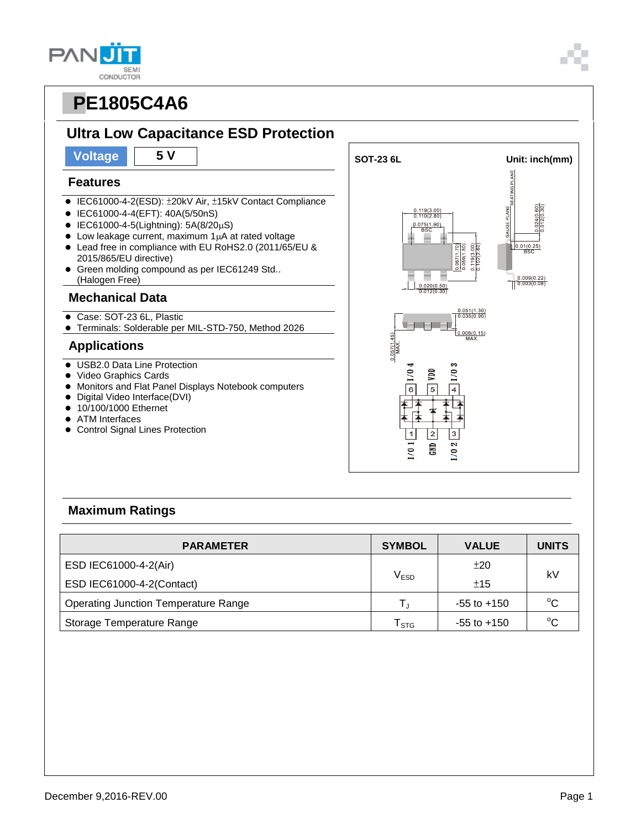**SEMI** CONDUCTOR

**PAN** 

#### **Features**

- IEC61000-4-2(ESD): ±20kV Air, ±15kV Contact Compliance
- IEC61000-4-4(EFT): 40A(5/50nS)
- $\bullet$  IEC61000-4-5(Lightning): 5A(8/20µS)
- $\bullet$  Low leakage current, maximum 1 $\mu$ A at rated voltage
- Lead free in compliance with EU RoHS2.0 (2011/65/EU & 2015/865/EU directive)
- **Green molding compound as per IEC61249 Std..** (Halogen Free)

#### **Mechanical Data**

- Case: SOT-23 6L, Plastic
- Terminals: Solderable per MIL-STD-750, Method 2026

#### **Applications**

- USB2.0 Data Line Protection
- Video Graphics Cards
- Monitors and Flat Panel Displays Notebook computers
- Digital Video Interface(DVI)
- 10/100/1000 Ethernet
- ATM Interfaces
- Control Signal Lines Protection



### **Maximum Ratings**

| <b>PARAMETER</b>                            | <b>SYMBOL</b>    | <b>VALUE</b>    | <b>UNITS</b> |  |
|---------------------------------------------|------------------|-----------------|--------------|--|
| ESD IEC61000-4-2(Air)                       |                  | ±20             | kV           |  |
| ESD IEC61000-4-2(Contact)                   | V <sub>ESD</sub> | ±15             |              |  |
| <b>Operating Junction Temperature Range</b> |                  | $-55$ to $+150$ | $^{\circ}C$  |  |
| Storage Temperature Range                   | l stg            | $-55$ to $+150$ | $^{\circ}$ C |  |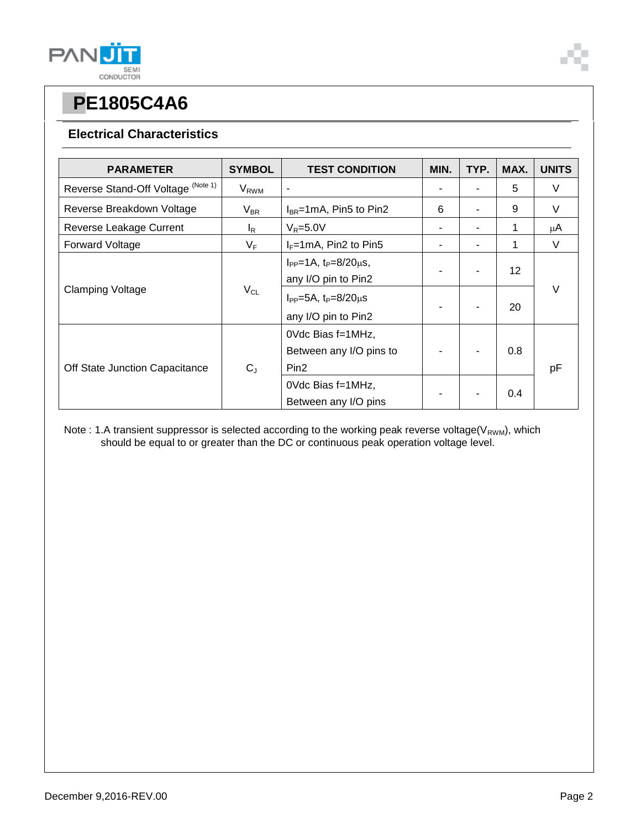

#### **Electrical Characteristics**

| <b>PARAMETER</b>                   | <b>SYMBOL</b>           | <b>TEST CONDITION</b>                                            | MIN. | TYP. | MAX.            | <b>UNITS</b> |
|------------------------------------|-------------------------|------------------------------------------------------------------|------|------|-----------------|--------------|
| Reverse Stand-Off Voltage (Note 1) | <b>V</b> <sub>RWM</sub> |                                                                  |      |      | 5               | V            |
| Reverse Breakdown Voltage          | $V_{BR}$                | $I_{BR}$ =1mA, Pin5 to Pin2                                      | 6    |      | 9               | V            |
| Reverse Leakage Current            | l <sub>R</sub>          | $V_R = 5.0V$                                                     |      |      | 1               | μA           |
| <b>Forward Voltage</b>             | $V_F$                   | $I_F = 1 \text{mA}$ , Pin2 to Pin5                               | ۰    |      | 1               | V            |
| <b>Clamping Voltage</b>            | $V_{CL}$                | $I_{PP} = 1A$ , $t_P = 8/20 \mu s$ ,<br>any I/O pin to Pin2      |      |      | 12 <sup>2</sup> | V            |
|                                    |                         | $I_{PP} = 5A$ , $t_P = 8/20 \mu s$<br>any I/O pin to Pin2        |      |      | 20              |              |
| Off State Junction Capacitance     | $C_{J}$                 | OVdc Bias f=1MHz,<br>Between any I/O pins to<br>Pin <sub>2</sub> |      |      | 0.8             | рF           |
|                                    |                         | OVdc Bias f=1MHz,<br>Between any I/O pins                        |      |      | 0.4             |              |

Note : 1.A transient suppressor is selected according to the working peak reverse voltage(V<sub>RWM</sub>), which should be equal to or greater than the DC or continuous peak operation voltage level.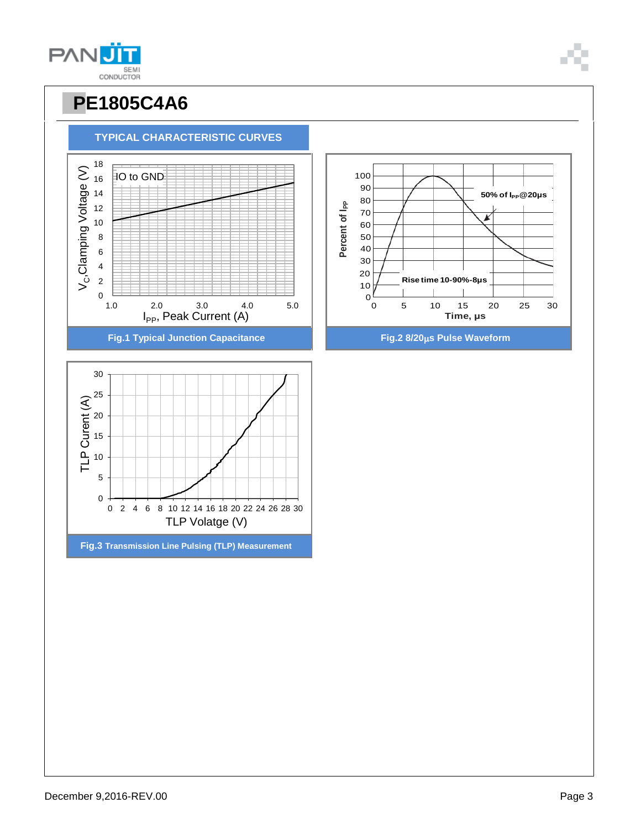December 9,2016-REV.00 Page 3





### **PE1805C4A6**

**TYPICAL CHARACTERISTIC CURVES**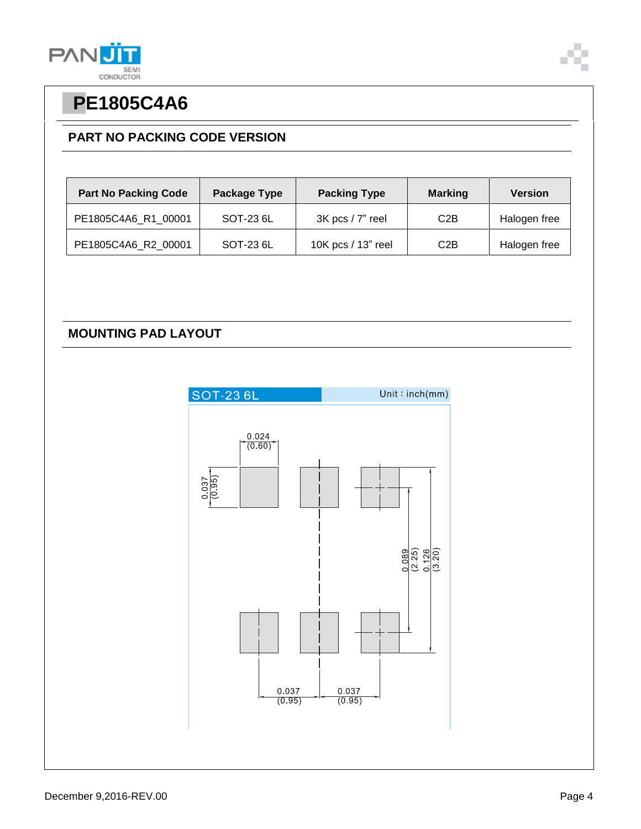

### **PART NO PACKING CODE VERSION**

| <b>Part No Packing Code</b> | Package Type | <b>Packing Type</b>  | <b>Marking</b> | <b>Version</b> |
|-----------------------------|--------------|----------------------|----------------|----------------|
| PE1805C4A6 R1 00001         | SOT-23 6L    | $3K$ pcs / $7"$ reel | C2B            | Halogen free   |
| PE1805C4A6_R2_00001         | SOT-23 6L    | 10K pcs / 13" reel   | C2B            | Halogen free   |

#### **MOUNTING PAD LAYOUT**